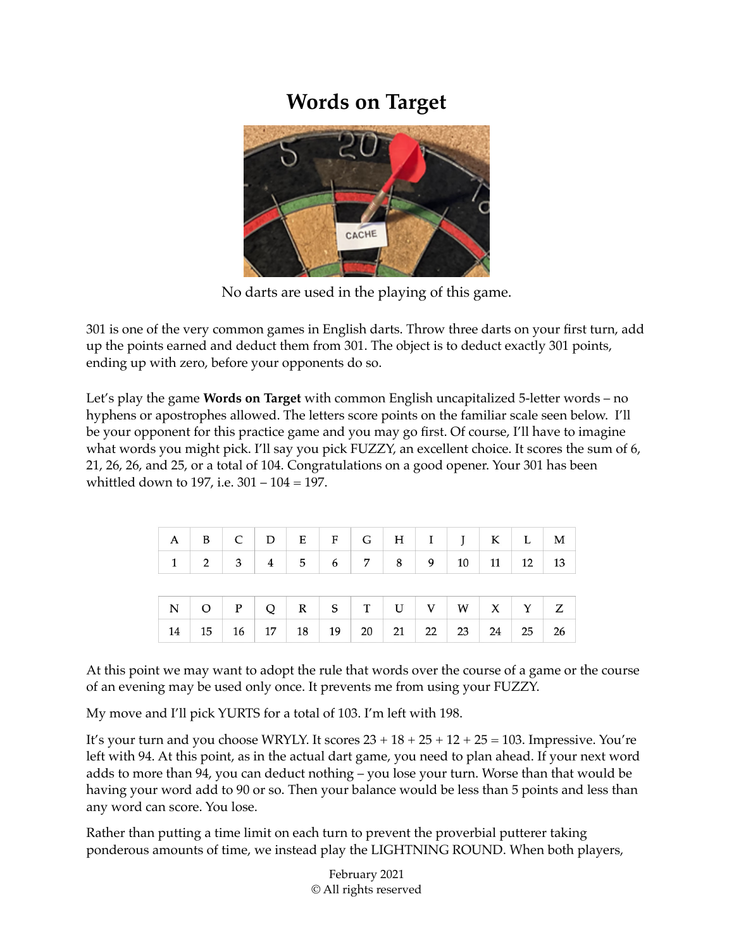## **Words on Target**



No darts are used in the playing of this game.

301 is one of the very common games in English darts. Throw three darts on your first turn, add up the points earned and deduct them from 301. The object is to deduct exactly 301 points, ending up with zero, before your opponents do so.

Let's play the game **Words on Target** with common English uncapitalized 5-letter words – no hyphens or apostrophes allowed. The letters score points on the familiar scale seen below. I'll be your opponent for this practice game and you may go first. Of course, I'll have to imagine what words you might pick. I'll say you pick FUZZY, an excellent choice. It scores the sum of 6, 21, 26, 26, and 25, or a total of 104. Congratulations on a good opener. Your 301 has been whittled down to 197, i.e. 301 – 104 = 197.

|  |  |  |  | $A \quad B \quad C \quad D \quad E \quad F \quad G \quad H \quad I \quad J \quad K \quad L \quad M$ |  |  |
|--|--|--|--|-----------------------------------------------------------------------------------------------------|--|--|
|  |  |  |  | $1 \mid 2 \mid 3 \mid 4 \mid 5 \mid 6 \mid 7 \mid 8 \mid 9 \mid 10 \mid 11 \mid 12 \mid 13$         |  |  |
|  |  |  |  |                                                                                                     |  |  |
|  |  |  |  |                                                                                                     |  |  |
|  |  |  |  |                                                                                                     |  |  |

At this point we may want to adopt the rule that words over the course of a game or the course of an evening may be used only once. It prevents me from using your FUZZY.

My move and I'll pick YURTS for a total of 103. I'm left with 198.

It's your turn and you choose WRYLY. It scores  $23 + 18 + 25 + 12 + 25 = 103$ . Impressive. You're left with 94. At this point, as in the actual dart game, you need to plan ahead. If your next word adds to more than 94, you can deduct nothing – you lose your turn. Worse than that would be having your word add to 90 or so. Then your balance would be less than 5 points and less than any word can score. You lose.

Rather than putting a time limit on each turn to prevent the proverbial putterer taking ponderous amounts of time, we instead play the LIGHTNING ROUND. When both players,

> February 2021 © All rights reserved